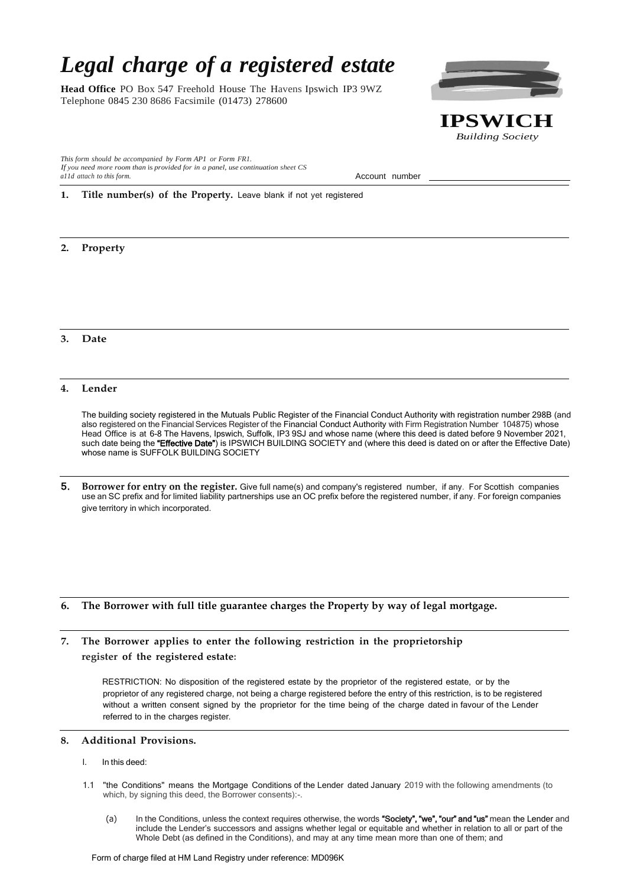# *Legal charge of a registered estate*

**Head Office** PO Box 547 Freehold House The Havens Ipswich IP3 9WZ Telephone 0845 230 8686 Facsimile (01473) 278600

*This form should be accompanied by Form AP1 or Form FR1. If you need more room than* is *provided for in a panel, use continuation sheet CS a11d attach to this form.* Account number

**1. Title number(s) of the Property.** Leave blank if not yet registered

## **2. Property**

### **3. Date**

#### **4. Lender**

The building society registered in the Mutuals Public Register of the Financial Conduct Authority with registration number 298B (and also registered on the Financial Services Register of the Financial Conduct Authority with Firm Registration Number 104875) whose Head Office is at 6-8 The Havens, Ipswich, Suffolk, IP3 9SJ and whose name (where this deed is dated before 9 November 2021, such date being the "Effective Date") is IPSWICH BUILDING SOCIETY and (where this deed is dated on or after the Effective Date) whose name is SUFFOLK BUILDING SOCIETY

5. **Borrower for entry on the register.** Give full name(s) and company's registered number, if any. For Scottish companies use an SC prefix and for limited liability partnerships use an OC prefix before the registered number, if any. For foreign companies give territory in which incorporated.

## **6. The Borrower with full title guarantee charges the Property by way of legal mortgage.**

**7. The Borrower applies to enter the following restriction in the proprietorship register of the registered estate:**

> RESTRICTION: No disposition of the registered estate by the proprietor of the registered estate, or by the proprietor of any registered charge, not being a charge registered before the entry of this restriction, is to be registered without a written consent signed by the proprietor for the time being of the charge dated in favour of the Lender referred to in the charges register.

#### **8. Additional Provisions.**

- l. In this deed:
- 1.1 "the Conditions" means the Mortgage Conditions of the Lender dated January 2019 with the following amendments (to which, by signing this deed, the Borrower consents):-.
	- (a) In the Conditions, unless the context requires otherwise, the words "Society", "we", "our" and "us" mean the Lender and include the Lender's successors and assigns whether legal or equitable and whether in relation to all or part of the Whole Debt (as defined in the Conditions), and may at any time mean more than one of them; and



*Building Society*